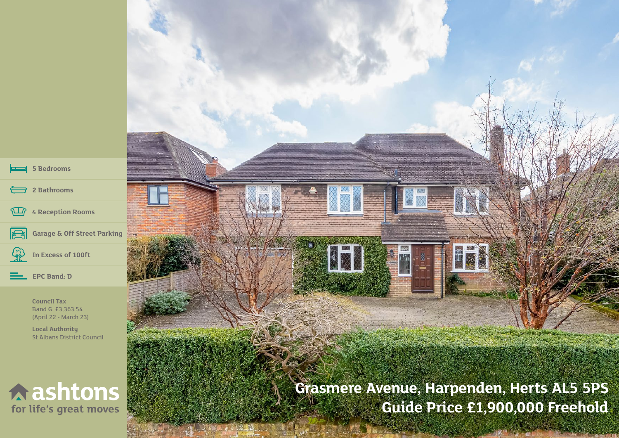| $\left  \right $ 5 Bedrooms                                                                                              |                                           |
|--------------------------------------------------------------------------------------------------------------------------|-------------------------------------------|
| 2 Bathrooms<br>4 Reception Rooms                                                                                         |                                           |
| Garage & Off Street Parking<br>R<br>In Excess of 100ft<br><b>EPC Band: D</b>                                             |                                           |
| <b>Council Tax</b><br>Band G: £3,363.54<br>(April 22 - March 23)<br><b>Local Authority</b><br>St Albans District Council |                                           |
| $\land$ ashtons                                                                                                          | Grasmere Avenue, Harpenden, Herts AL5 5PS |

И

for life's great moves

**Guide Price £1,900,000 Freehold**